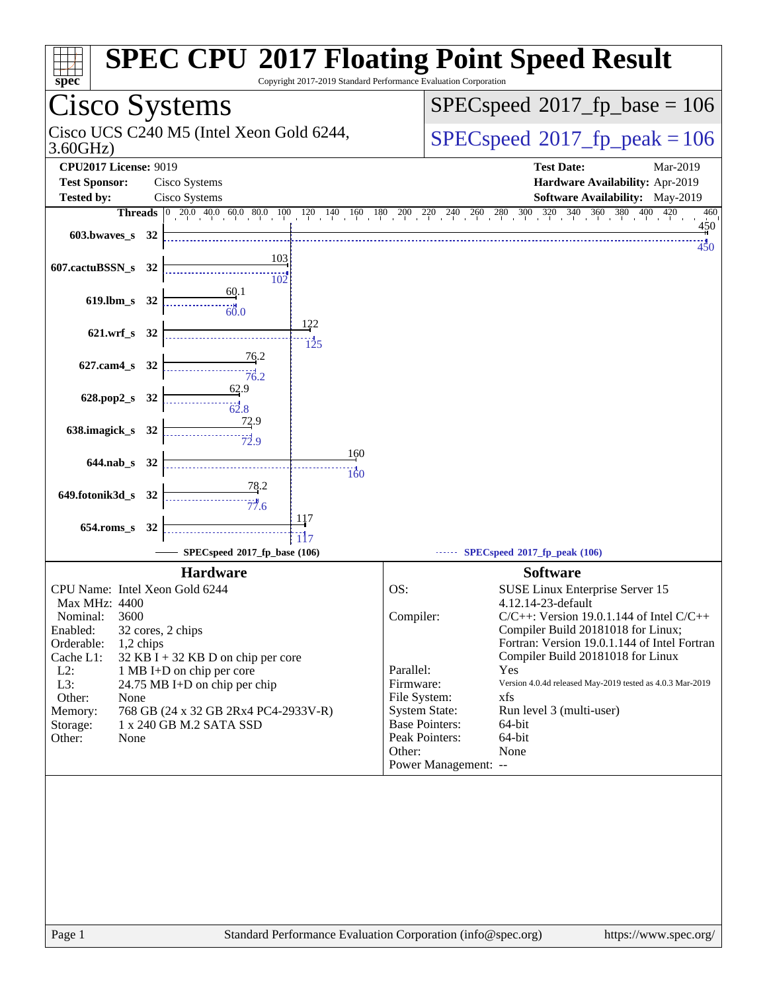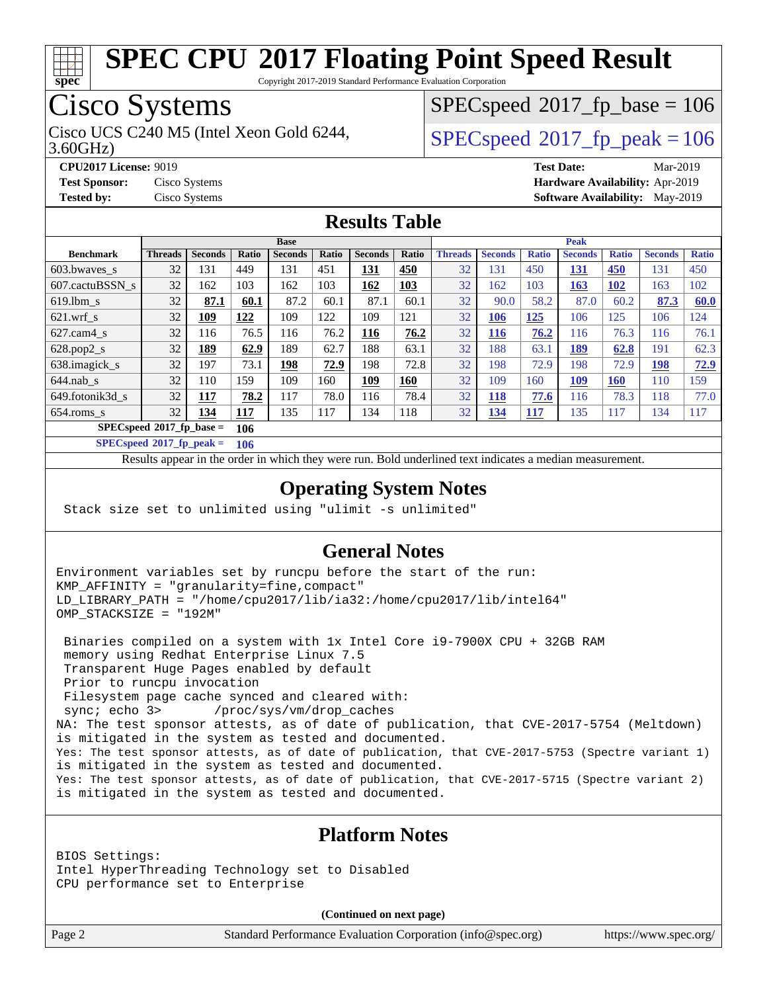

Copyright 2017-2019 Standard Performance Evaluation Corporation

### Cisco Systems

3.60GHz) Cisco UCS C240 M5 (Intel Xeon Gold 6244,  $\vert$ [SPECspeed](http://www.spec.org/auto/cpu2017/Docs/result-fields.html#SPECspeed2017fppeak)®2017 fp\_peak = 106

[SPECspeed](http://www.spec.org/auto/cpu2017/Docs/result-fields.html#SPECspeed2017fpbase)<sup>®</sup>2017 fp base = 106

**[CPU2017 License:](http://www.spec.org/auto/cpu2017/Docs/result-fields.html#CPU2017License)** 9019 **[Test Date:](http://www.spec.org/auto/cpu2017/Docs/result-fields.html#TestDate)** Mar-2019 **[Test Sponsor:](http://www.spec.org/auto/cpu2017/Docs/result-fields.html#TestSponsor)** Cisco Systems **[Hardware Availability:](http://www.spec.org/auto/cpu2017/Docs/result-fields.html#HardwareAvailability)** Apr-2019 **[Tested by:](http://www.spec.org/auto/cpu2017/Docs/result-fields.html#Testedby)** Cisco Systems **[Software Availability:](http://www.spec.org/auto/cpu2017/Docs/result-fields.html#SoftwareAvailability)** May-2019

### **[Results Table](http://www.spec.org/auto/cpu2017/Docs/result-fields.html#ResultsTable)**

|                                    | <b>Base</b> |                |            |                |       | <b>Peak</b>    |            |                |                |              |                |              |                |              |
|------------------------------------|-------------|----------------|------------|----------------|-------|----------------|------------|----------------|----------------|--------------|----------------|--------------|----------------|--------------|
| <b>Benchmark</b>                   | Threads     | <b>Seconds</b> | Ratio      | <b>Seconds</b> | Ratio | <b>Seconds</b> | Ratio      | <b>Threads</b> | <b>Seconds</b> | <b>Ratio</b> | <b>Seconds</b> | <b>Ratio</b> | <b>Seconds</b> | <b>Ratio</b> |
| $603.bwaves$ s                     | 32          | 131            | 449        | 131            | 451   | 131            | 450        | 32             | 131            | 450          | 131            | 450          | 131            | 450          |
| 607.cactuBSSN s                    | 32          | 162            | 103        | 162            | 103   | 162            | <b>103</b> | 32             | 162            | 103          | 163            | <b>102</b>   | 163            | 102          |
| $619.1$ bm s                       | 32          | 87.1           | 60.1       | 87.2           | 60.1  | 87.1           | 60.1       | 32             | 90.0           | 58.2         | 87.0           | 60.2         | 87.3           | 60.0         |
| $621$ wrf s                        | 32          | <u> 109</u>    | <u>122</u> | 109            | 122   | 109            | 121        | 32             | <b>106</b>     | <u>125</u>   | 106            | 125          | 106            | 124          |
| $627$ .cam4 s                      | 32          | 116            | 76.5       | 116            | 76.2  | <u> 116</u>    | 76.2       | 32             | <u>116</u>     | 76.2         | 116            | 76.3         | 116            | 76.1         |
| $628.pop2_s$                       | 32          | 189            | 62.9       | 189            | 62.7  | 188            | 63.1       | 32             | 188            | 63.1         | 189            | 62.8         | 191            | 62.3         |
| 638.imagick_s                      | 32          | 197            | 73.1       | 198            | 72.9  | 198            | 72.8       | 32             | 198            | 72.9         | 198            | 72.9         | 198            | 72.9         |
| $644$ .nab s                       | 32          | 110            | 159        | 109            | 160   | 109            | <b>160</b> | 32             | 109            | 160          | 109            | <b>160</b>   | 110            | 159          |
| 649.fotonik3d s                    | 32          | 117            | 78.2       | 117            | 78.0  | 116            | 78.4       | 32             | <u>118</u>     | 77.6         | 116            | 78.3         | 118            | 77.0         |
| $654$ .roms s                      | 32          | 134            | <u>117</u> | 135            | 117   | 134            | 118        | 32             | <u>134</u>     | <u>117</u>   | 135            | 117          | 134            | 117          |
| $SPECspeed^*2017$ fp base =<br>106 |             |                |            |                |       |                |            |                |                |              |                |              |                |              |

**[SPECspeed](http://www.spec.org/auto/cpu2017/Docs/result-fields.html#SPECspeed2017fppeak)[2017\\_fp\\_peak =](http://www.spec.org/auto/cpu2017/Docs/result-fields.html#SPECspeed2017fppeak) 106**

Results appear in the [order in which they were run.](http://www.spec.org/auto/cpu2017/Docs/result-fields.html#RunOrder) Bold underlined text [indicates a median measurement](http://www.spec.org/auto/cpu2017/Docs/result-fields.html#Median).

### **[Operating System Notes](http://www.spec.org/auto/cpu2017/Docs/result-fields.html#OperatingSystemNotes)**

Stack size set to unlimited using "ulimit -s unlimited"

#### **[General Notes](http://www.spec.org/auto/cpu2017/Docs/result-fields.html#GeneralNotes)**

Environment variables set by runcpu before the start of the run: KMP\_AFFINITY = "granularity=fine,compact" LD\_LIBRARY\_PATH = "/home/cpu2017/lib/ia32:/home/cpu2017/lib/intel64" OMP\_STACKSIZE = "192M"

 Binaries compiled on a system with 1x Intel Core i9-7900X CPU + 32GB RAM memory using Redhat Enterprise Linux 7.5 Transparent Huge Pages enabled by default Prior to runcpu invocation Filesystem page cache synced and cleared with: sync; echo 3> /proc/sys/vm/drop\_caches NA: The test sponsor attests, as of date of publication, that CVE-2017-5754 (Meltdown) is mitigated in the system as tested and documented. Yes: The test sponsor attests, as of date of publication, that CVE-2017-5753 (Spectre variant 1) is mitigated in the system as tested and documented. Yes: The test sponsor attests, as of date of publication, that CVE-2017-5715 (Spectre variant 2) is mitigated in the system as tested and documented.

#### **[Platform Notes](http://www.spec.org/auto/cpu2017/Docs/result-fields.html#PlatformNotes)**

BIOS Settings: Intel HyperThreading Technology set to Disabled CPU performance set to Enterprise

**(Continued on next page)**

Page 2 Standard Performance Evaluation Corporation [\(info@spec.org\)](mailto:info@spec.org) <https://www.spec.org/>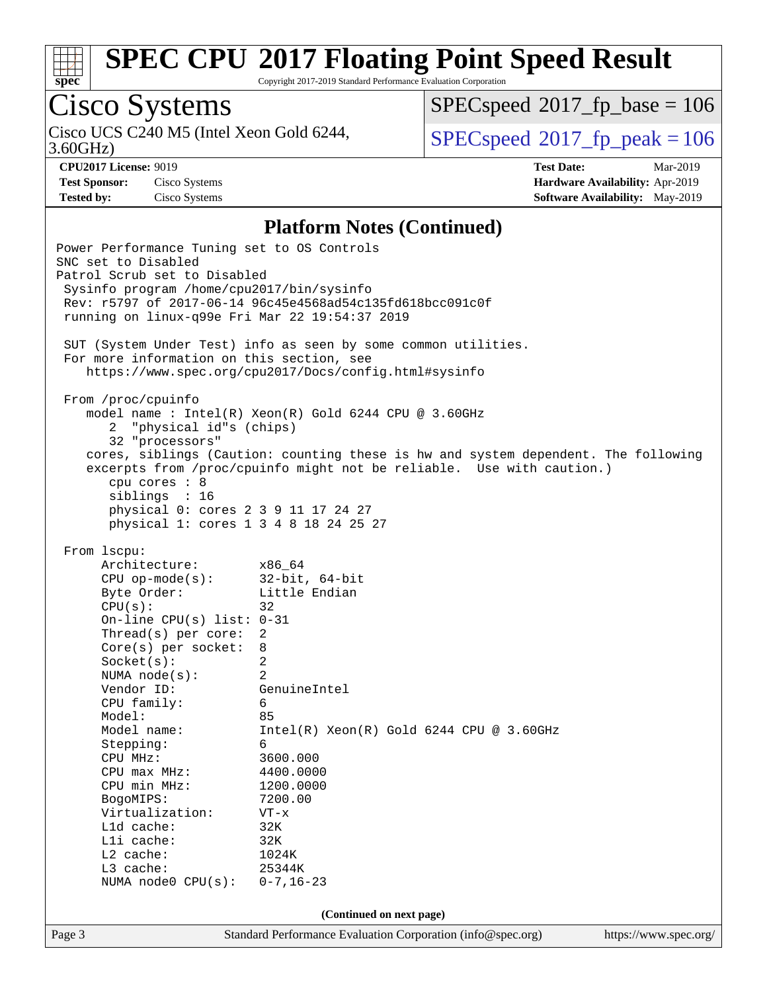

Copyright 2017-2019 Standard Performance Evaluation Corporation

### Cisco Systems

3.60GHz) Cisco UCS C240 M5 (Intel Xeon Gold 6244,  $\vert$  [SPECspeed](http://www.spec.org/auto/cpu2017/Docs/result-fields.html#SPECspeed2017fppeak)®[2017\\_fp\\_peak = 1](http://www.spec.org/auto/cpu2017/Docs/result-fields.html#SPECspeed2017fppeak)06

[SPECspeed](http://www.spec.org/auto/cpu2017/Docs/result-fields.html#SPECspeed2017fpbase)<sup>®</sup>2017 fp base = 106

**[Test Sponsor:](http://www.spec.org/auto/cpu2017/Docs/result-fields.html#TestSponsor)** Cisco Systems **[Hardware Availability:](http://www.spec.org/auto/cpu2017/Docs/result-fields.html#HardwareAvailability)** Apr-2019

**[CPU2017 License:](http://www.spec.org/auto/cpu2017/Docs/result-fields.html#CPU2017License)** 9019 **[Test Date:](http://www.spec.org/auto/cpu2017/Docs/result-fields.html#TestDate)** Mar-2019 **[Tested by:](http://www.spec.org/auto/cpu2017/Docs/result-fields.html#Testedby)** Cisco Systems **[Software Availability:](http://www.spec.org/auto/cpu2017/Docs/result-fields.html#SoftwareAvailability)** May-2019

#### **[Platform Notes \(Continued\)](http://www.spec.org/auto/cpu2017/Docs/result-fields.html#PlatformNotes)**

Page 3 Standard Performance Evaluation Corporation [\(info@spec.org\)](mailto:info@spec.org) <https://www.spec.org/> Power Performance Tuning set to OS Controls SNC set to Disabled Patrol Scrub set to Disabled Sysinfo program /home/cpu2017/bin/sysinfo Rev: r5797 of 2017-06-14 96c45e4568ad54c135fd618bcc091c0f running on linux-q99e Fri Mar 22 19:54:37 2019 SUT (System Under Test) info as seen by some common utilities. For more information on this section, see <https://www.spec.org/cpu2017/Docs/config.html#sysinfo> From /proc/cpuinfo model name : Intel(R) Xeon(R) Gold 6244 CPU @ 3.60GHz 2 "physical id"s (chips) 32 "processors" cores, siblings (Caution: counting these is hw and system dependent. The following excerpts from /proc/cpuinfo might not be reliable. Use with caution.) cpu cores : 8 siblings : 16 physical 0: cores 2 3 9 11 17 24 27 physical 1: cores 1 3 4 8 18 24 25 27 From lscpu: Architecture: x86\_64 CPU op-mode(s): 32-bit, 64-bit Byte Order: Little Endian  $CPU(s):$  32 On-line CPU(s) list: 0-31 Thread(s) per core: 2 Core(s) per socket: 8 Socket(s): 2 NUMA node(s): 2 Vendor ID: GenuineIntel CPU family: 6 Model: 85 Model name: Intel(R) Xeon(R) Gold 6244 CPU @ 3.60GHz Stepping: 6 CPU MHz: 3600.000 CPU max MHz: 4400.0000 CPU min MHz: 1200.0000 BogoMIPS: 7200.00 Virtualization: VT-x L1d cache: 32K L1i cache: 32K L2 cache: 1024K L3 cache: 25344K NUMA node0 CPU(s): 0-7,16-23 **(Continued on next page)**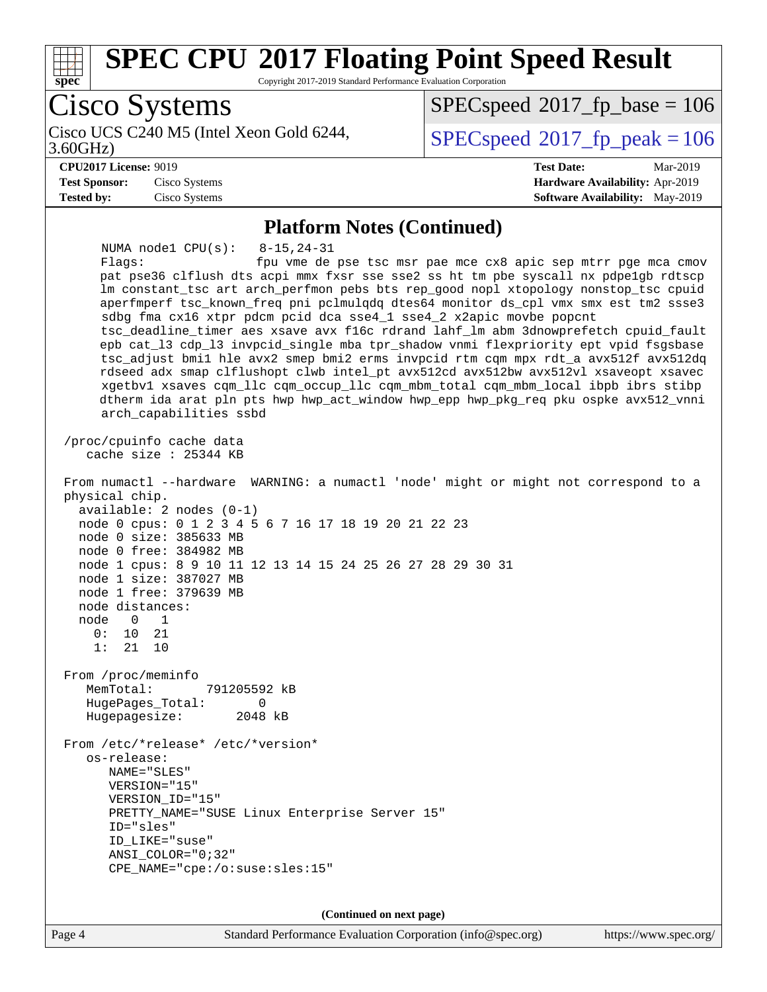

Copyright 2017-2019 Standard Performance Evaluation Corporation

Cisco Systems Cisco UCS C240 M5 (Intel Xeon Gold 6244, 3.60GHz) [SPECspeed](http://www.spec.org/auto/cpu2017/Docs/result-fields.html#SPECspeed2017fppeak)<sup>®</sup>2017 fp peak = 106 [SPECspeed](http://www.spec.org/auto/cpu2017/Docs/result-fields.html#SPECspeed2017fpbase)<sup>®</sup>2017 fp base = 106 **[CPU2017 License:](http://www.spec.org/auto/cpu2017/Docs/result-fields.html#CPU2017License)** 9019 **[Test Date:](http://www.spec.org/auto/cpu2017/Docs/result-fields.html#TestDate)** Mar-2019 **[Test Sponsor:](http://www.spec.org/auto/cpu2017/Docs/result-fields.html#TestSponsor)** Cisco Systems **[Hardware Availability:](http://www.spec.org/auto/cpu2017/Docs/result-fields.html#HardwareAvailability)** Apr-2019 **[Tested by:](http://www.spec.org/auto/cpu2017/Docs/result-fields.html#Testedby)** Cisco Systems **[Software Availability:](http://www.spec.org/auto/cpu2017/Docs/result-fields.html#SoftwareAvailability)** May-2019 **[Platform Notes \(Continued\)](http://www.spec.org/auto/cpu2017/Docs/result-fields.html#PlatformNotes)** NUMA node1 CPU(s): 8-15,24-31 Flags: fpu vme de pse tsc msr pae mce cx8 apic sep mtrr pge mca cmov pat pse36 clflush dts acpi mmx fxsr sse sse2 ss ht tm pbe syscall nx pdpe1gb rdtscp lm constant\_tsc art arch\_perfmon pebs bts rep\_good nopl xtopology nonstop\_tsc cpuid aperfmperf tsc\_known\_freq pni pclmulqdq dtes64 monitor ds\_cpl vmx smx est tm2 ssse3 sdbg fma cx16 xtpr pdcm pcid dca sse4\_1 sse4\_2 x2apic movbe popcnt tsc\_deadline\_timer aes xsave avx f16c rdrand lahf\_lm abm 3dnowprefetch cpuid\_fault epb cat\_l3 cdp\_l3 invpcid\_single mba tpr\_shadow vnmi flexpriority ept vpid fsgsbase tsc\_adjust bmi1 hle avx2 smep bmi2 erms invpcid rtm cqm mpx rdt\_a avx512f avx512dq rdseed adx smap clflushopt clwb intel\_pt avx512cd avx512bw avx512vl xsaveopt xsavec xgetbv1 xsaves cqm\_llc cqm\_occup\_llc cqm\_mbm\_total cqm\_mbm\_local ibpb ibrs stibp dtherm ida arat pln pts hwp hwp\_act\_window hwp\_epp hwp\_pkg\_req pku ospke avx512\_vnni arch\_capabilities ssbd /proc/cpuinfo cache data cache size : 25344 KB From numactl --hardware WARNING: a numactl 'node' might or might not correspond to a physical chip. available: 2 nodes (0-1) node 0 cpus: 0 1 2 3 4 5 6 7 16 17 18 19 20 21 22 23 node 0 size: 385633 MB node 0 free: 384982 MB node 1 cpus: 8 9 10 11 12 13 14 15 24 25 26 27 28 29 30 31 node 1 size: 387027 MB node 1 free: 379639 MB node distances: node 0 1 0: 10 21 1: 21 10 From /proc/meminfo MemTotal: 791205592 kB HugePages\_Total: 0 Hugepagesize: 2048 kB From /etc/\*release\* /etc/\*version\* os-release: NAME="SLES" VERSION="15" VERSION\_ID="15" PRETTY NAME="SUSE Linux Enterprise Server 15" ID="sles" ID\_LIKE="suse" ANSI\_COLOR="0;32" CPE\_NAME="cpe:/o:suse:sles:15" **(Continued on next page)**

Page 4 Standard Performance Evaluation Corporation [\(info@spec.org\)](mailto:info@spec.org) <https://www.spec.org/>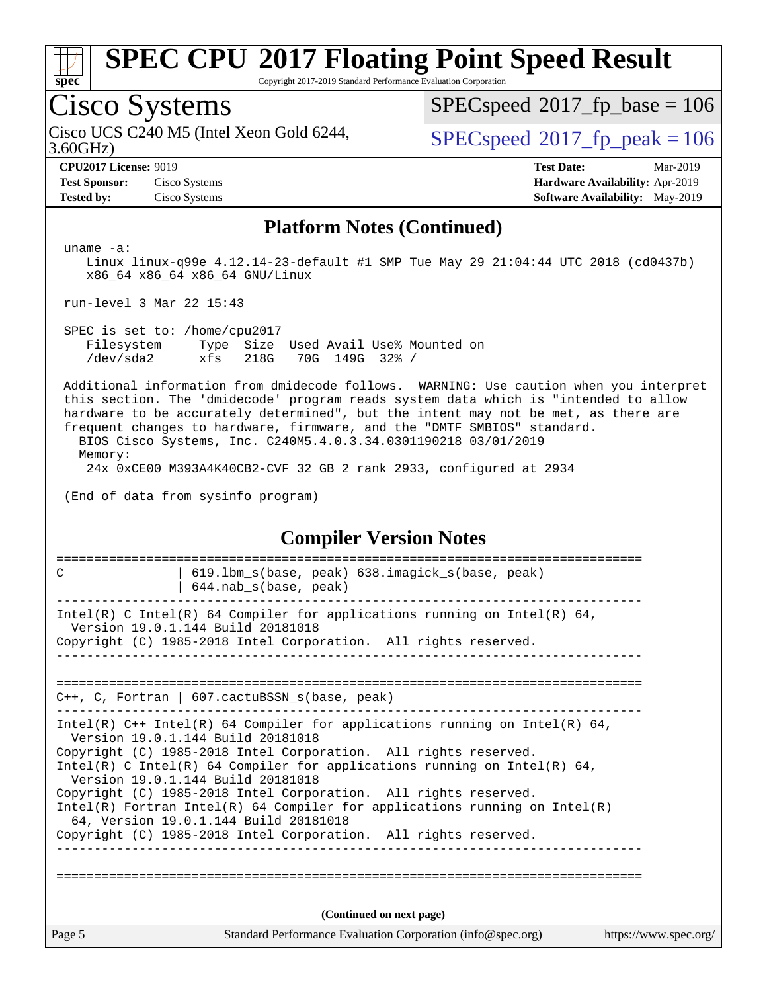

Copyright 2017-2019 Standard Performance Evaluation Corporation

### Cisco Systems

3.60GHz) Cisco UCS C240 M5 (Intel Xeon Gold 6244,  $\vert$ [SPECspeed](http://www.spec.org/auto/cpu2017/Docs/result-fields.html#SPECspeed2017fppeak)®2017 fp\_peak = 106

[SPECspeed](http://www.spec.org/auto/cpu2017/Docs/result-fields.html#SPECspeed2017fpbase)<sup>®</sup>2017 fp base = 106

**[Test Sponsor:](http://www.spec.org/auto/cpu2017/Docs/result-fields.html#TestSponsor)** Cisco Systems **[Hardware Availability:](http://www.spec.org/auto/cpu2017/Docs/result-fields.html#HardwareAvailability)** Apr-2019 **[Tested by:](http://www.spec.org/auto/cpu2017/Docs/result-fields.html#Testedby)** Cisco Systems **[Software Availability:](http://www.spec.org/auto/cpu2017/Docs/result-fields.html#SoftwareAvailability)** May-2019

**[CPU2017 License:](http://www.spec.org/auto/cpu2017/Docs/result-fields.html#CPU2017License)** 9019 **[Test Date:](http://www.spec.org/auto/cpu2017/Docs/result-fields.html#TestDate)** Mar-2019

#### **[Platform Notes \(Continued\)](http://www.spec.org/auto/cpu2017/Docs/result-fields.html#PlatformNotes)**

uname -a:

 Linux linux-q99e 4.12.14-23-default #1 SMP Tue May 29 21:04:44 UTC 2018 (cd0437b) x86\_64 x86\_64 x86\_64 GNU/Linux

run-level 3 Mar 22 15:43

 SPEC is set to: /home/cpu2017 Filesystem Type Size Used Avail Use% Mounted on /dev/sda2 xfs 218G 70G 149G 32% /

 Additional information from dmidecode follows. WARNING: Use caution when you interpret this section. The 'dmidecode' program reads system data which is "intended to allow hardware to be accurately determined", but the intent may not be met, as there are frequent changes to hardware, firmware, and the "DMTF SMBIOS" standard. BIOS Cisco Systems, Inc. C240M5.4.0.3.34.0301190218 03/01/2019 Memory:

24x 0xCE00 M393A4K40CB2-CVF 32 GB 2 rank 2933, configured at 2934

(End of data from sysinfo program)

#### Page 5 Standard Performance Evaluation Corporation [\(info@spec.org\)](mailto:info@spec.org) <https://www.spec.org/> **[Compiler Version Notes](http://www.spec.org/auto/cpu2017/Docs/result-fields.html#CompilerVersionNotes)** ============================================================================== C | 619.lbm\_s(base, peak) 638.imagick\_s(base, peak) | 644.nab\_s(base, peak) ------------------------------------------------------------------------------ Intel(R) C Intel(R) 64 Compiler for applications running on Intel(R)  $64$ , Version 19.0.1.144 Build 20181018 Copyright (C) 1985-2018 Intel Corporation. All rights reserved. ------------------------------------------------------------------------------ ============================================================================== C++, C, Fortran | 607.cactuBSSN\_s(base, peak) ------------------------------------------------------------------------------ Intel(R)  $C++$  Intel(R) 64 Compiler for applications running on Intel(R) 64, Version 19.0.1.144 Build 20181018 Copyright (C) 1985-2018 Intel Corporation. All rights reserved. Intel(R) C Intel(R) 64 Compiler for applications running on Intel(R)  $64$ , Version 19.0.1.144 Build 20181018 Copyright (C) 1985-2018 Intel Corporation. All rights reserved. Intel(R) Fortran Intel(R) 64 Compiler for applications running on Intel(R) 64, Version 19.0.1.144 Build 20181018 Copyright (C) 1985-2018 Intel Corporation. All rights reserved. ------------------------------------------------------------------------------ ============================================================================== **(Continued on next page)**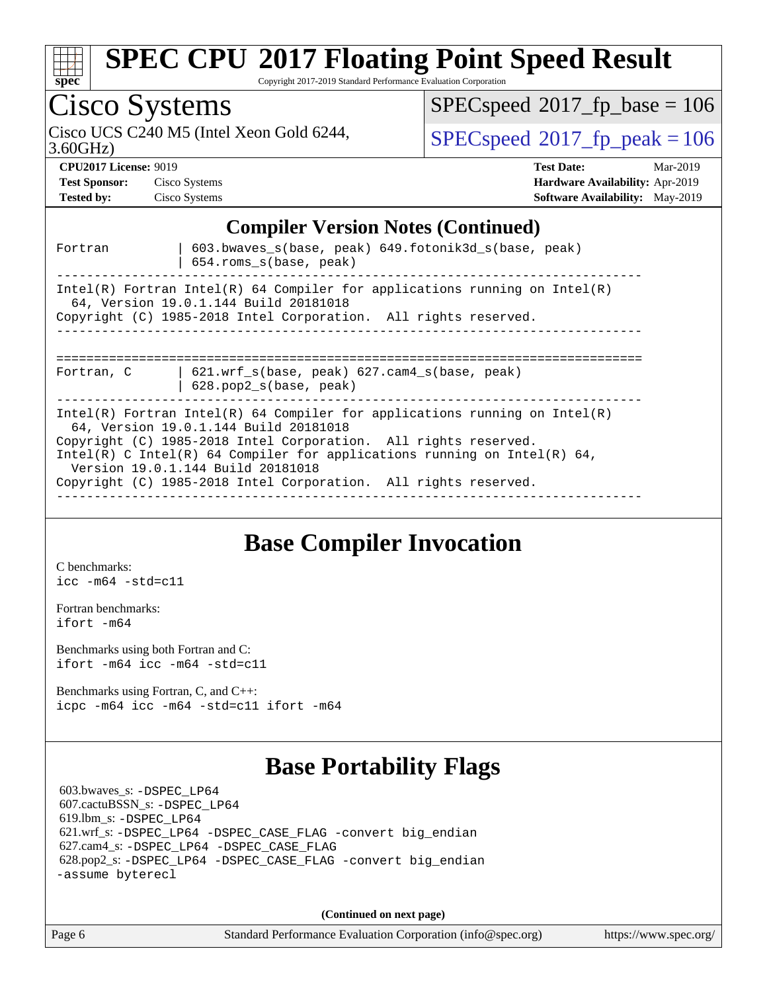| <b>SPEC CPU®2017 Floating Point Speed Result</b><br>Copyright 2017-2019 Standard Performance Evaluation Corporation<br>$spec^*$                                                        |                                        |
|----------------------------------------------------------------------------------------------------------------------------------------------------------------------------------------|----------------------------------------|
| Cisco Systems                                                                                                                                                                          | $SPEC speed^{\circ}2017$ fp base = 106 |
| Cisco UCS C240 M5 (Intel Xeon Gold 6244,<br>3.60GHz)                                                                                                                                   | $SPEC speed^{\circ}2017$ fp peak = 106 |
| <b>CPU2017 License: 9019</b>                                                                                                                                                           | <b>Test Date:</b><br>Mar-2019          |
| <b>Test Sponsor:</b><br>Cisco Systems                                                                                                                                                  | Hardware Availability: Apr-2019        |
| <b>Tested by:</b><br>Cisco Systems                                                                                                                                                     | <b>Software Availability:</b> May-2019 |
| <b>Compiler Version Notes (Continued)</b><br>603.bwaves_s(base, peak) 649.fotonik3d_s(base, peak)<br>Fortran<br>654.roms_s(base, peak)                                                 |                                        |
| Intel(R) Fortran Intel(R) 64 Compiler for applications running on Intel(R)<br>64, Version 19.0.1.144 Build 20181018<br>Copyright (C) 1985-2018 Intel Corporation. All rights reserved. |                                        |
| ------------<br>$621.$ wrf $s(base, peak)$ $627.$ cam4 $s(base, peak)$<br>Fortran, C<br>628.pop2_s(base, peak)                                                                         |                                        |
| Intel(R) Fortran Intel(R) 64 Compiler for applications running on Intel(R)<br>64, Version 19.0.1.144 Build 20181018                                                                    |                                        |
| Copyright (C) 1985-2018 Intel Corporation. All rights reserved.<br>Intel(R) C Intel(R) 64 Compiler for applications running on Intel(R) 64,<br>Version 19.0.1.144 Build 20181018       |                                        |
| Copyright (C) 1985-2018 Intel Corporation. All rights reserved.                                                                                                                        |                                        |

### **[Base Compiler Invocation](http://www.spec.org/auto/cpu2017/Docs/result-fields.html#BaseCompilerInvocation)**

------------------------------------------------------------------------------

[C benchmarks](http://www.spec.org/auto/cpu2017/Docs/result-fields.html#Cbenchmarks): [icc -m64 -std=c11](http://www.spec.org/cpu2017/results/res2019q3/cpu2017-20190819-16761.flags.html#user_CCbase_intel_icc_64bit_c11_33ee0cdaae7deeeab2a9725423ba97205ce30f63b9926c2519791662299b76a0318f32ddfffdc46587804de3178b4f9328c46fa7c2b0cd779d7a61945c91cd35)

[Fortran benchmarks](http://www.spec.org/auto/cpu2017/Docs/result-fields.html#Fortranbenchmarks): [ifort -m64](http://www.spec.org/cpu2017/results/res2019q3/cpu2017-20190819-16761.flags.html#user_FCbase_intel_ifort_64bit_24f2bb282fbaeffd6157abe4f878425411749daecae9a33200eee2bee2fe76f3b89351d69a8130dd5949958ce389cf37ff59a95e7a40d588e8d3a57e0c3fd751)

[Benchmarks using both Fortran and C](http://www.spec.org/auto/cpu2017/Docs/result-fields.html#BenchmarksusingbothFortranandC): [ifort -m64](http://www.spec.org/cpu2017/results/res2019q3/cpu2017-20190819-16761.flags.html#user_CC_FCbase_intel_ifort_64bit_24f2bb282fbaeffd6157abe4f878425411749daecae9a33200eee2bee2fe76f3b89351d69a8130dd5949958ce389cf37ff59a95e7a40d588e8d3a57e0c3fd751) [icc -m64 -std=c11](http://www.spec.org/cpu2017/results/res2019q3/cpu2017-20190819-16761.flags.html#user_CC_FCbase_intel_icc_64bit_c11_33ee0cdaae7deeeab2a9725423ba97205ce30f63b9926c2519791662299b76a0318f32ddfffdc46587804de3178b4f9328c46fa7c2b0cd779d7a61945c91cd35)

[Benchmarks using Fortran, C, and C++:](http://www.spec.org/auto/cpu2017/Docs/result-fields.html#BenchmarksusingFortranCandCXX) [icpc -m64](http://www.spec.org/cpu2017/results/res2019q3/cpu2017-20190819-16761.flags.html#user_CC_CXX_FCbase_intel_icpc_64bit_4ecb2543ae3f1412ef961e0650ca070fec7b7afdcd6ed48761b84423119d1bf6bdf5cad15b44d48e7256388bc77273b966e5eb805aefd121eb22e9299b2ec9d9) [icc -m64 -std=c11](http://www.spec.org/cpu2017/results/res2019q3/cpu2017-20190819-16761.flags.html#user_CC_CXX_FCbase_intel_icc_64bit_c11_33ee0cdaae7deeeab2a9725423ba97205ce30f63b9926c2519791662299b76a0318f32ddfffdc46587804de3178b4f9328c46fa7c2b0cd779d7a61945c91cd35) [ifort -m64](http://www.spec.org/cpu2017/results/res2019q3/cpu2017-20190819-16761.flags.html#user_CC_CXX_FCbase_intel_ifort_64bit_24f2bb282fbaeffd6157abe4f878425411749daecae9a33200eee2bee2fe76f3b89351d69a8130dd5949958ce389cf37ff59a95e7a40d588e8d3a57e0c3fd751)

### **[Base Portability Flags](http://www.spec.org/auto/cpu2017/Docs/result-fields.html#BasePortabilityFlags)**

 603.bwaves\_s: [-DSPEC\\_LP64](http://www.spec.org/cpu2017/results/res2019q3/cpu2017-20190819-16761.flags.html#suite_basePORTABILITY603_bwaves_s_DSPEC_LP64) 607.cactuBSSN\_s: [-DSPEC\\_LP64](http://www.spec.org/cpu2017/results/res2019q3/cpu2017-20190819-16761.flags.html#suite_basePORTABILITY607_cactuBSSN_s_DSPEC_LP64) 619.lbm\_s: [-DSPEC\\_LP64](http://www.spec.org/cpu2017/results/res2019q3/cpu2017-20190819-16761.flags.html#suite_basePORTABILITY619_lbm_s_DSPEC_LP64) 621.wrf\_s: [-DSPEC\\_LP64](http://www.spec.org/cpu2017/results/res2019q3/cpu2017-20190819-16761.flags.html#suite_basePORTABILITY621_wrf_s_DSPEC_LP64) [-DSPEC\\_CASE\\_FLAG](http://www.spec.org/cpu2017/results/res2019q3/cpu2017-20190819-16761.flags.html#b621.wrf_s_baseCPORTABILITY_DSPEC_CASE_FLAG) [-convert big\\_endian](http://www.spec.org/cpu2017/results/res2019q3/cpu2017-20190819-16761.flags.html#user_baseFPORTABILITY621_wrf_s_convert_big_endian_c3194028bc08c63ac5d04de18c48ce6d347e4e562e8892b8bdbdc0214820426deb8554edfa529a3fb25a586e65a3d812c835984020483e7e73212c4d31a38223) 627.cam4\_s: [-DSPEC\\_LP64](http://www.spec.org/cpu2017/results/res2019q3/cpu2017-20190819-16761.flags.html#suite_basePORTABILITY627_cam4_s_DSPEC_LP64) [-DSPEC\\_CASE\\_FLAG](http://www.spec.org/cpu2017/results/res2019q3/cpu2017-20190819-16761.flags.html#b627.cam4_s_baseCPORTABILITY_DSPEC_CASE_FLAG) 628.pop2\_s: [-DSPEC\\_LP64](http://www.spec.org/cpu2017/results/res2019q3/cpu2017-20190819-16761.flags.html#suite_basePORTABILITY628_pop2_s_DSPEC_LP64) [-DSPEC\\_CASE\\_FLAG](http://www.spec.org/cpu2017/results/res2019q3/cpu2017-20190819-16761.flags.html#b628.pop2_s_baseCPORTABILITY_DSPEC_CASE_FLAG) [-convert big\\_endian](http://www.spec.org/cpu2017/results/res2019q3/cpu2017-20190819-16761.flags.html#user_baseFPORTABILITY628_pop2_s_convert_big_endian_c3194028bc08c63ac5d04de18c48ce6d347e4e562e8892b8bdbdc0214820426deb8554edfa529a3fb25a586e65a3d812c835984020483e7e73212c4d31a38223) [-assume byterecl](http://www.spec.org/cpu2017/results/res2019q3/cpu2017-20190819-16761.flags.html#user_baseFPORTABILITY628_pop2_s_assume_byterecl_7e47d18b9513cf18525430bbf0f2177aa9bf368bc7a059c09b2c06a34b53bd3447c950d3f8d6c70e3faf3a05c8557d66a5798b567902e8849adc142926523472)

**(Continued on next page)**

Page 6 Standard Performance Evaluation Corporation [\(info@spec.org\)](mailto:info@spec.org) <https://www.spec.org/>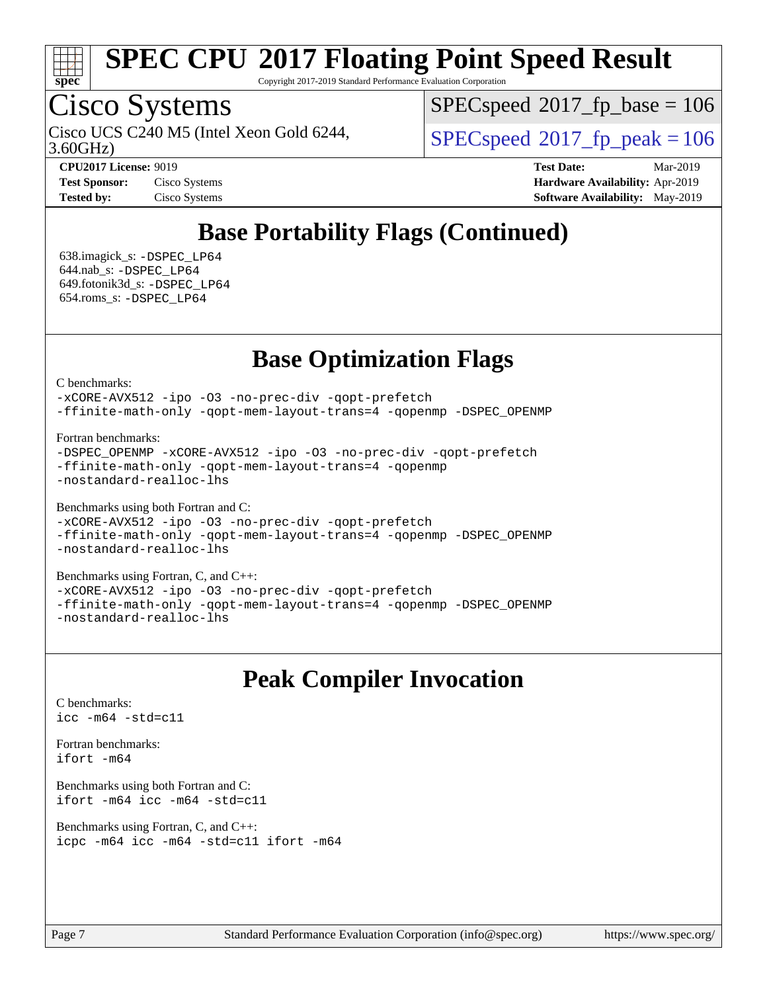

Copyright 2017-2019 Standard Performance Evaluation Corporation

### Cisco Systems

3.60GHz) Cisco UCS C240 M5 (Intel Xeon Gold 6244,  $\vert$ [SPECspeed](http://www.spec.org/auto/cpu2017/Docs/result-fields.html#SPECspeed2017fppeak)®2017 fp\_peak = 106

[SPECspeed](http://www.spec.org/auto/cpu2017/Docs/result-fields.html#SPECspeed2017fpbase)<sup>®</sup>2017 fp base = 106

**[CPU2017 License:](http://www.spec.org/auto/cpu2017/Docs/result-fields.html#CPU2017License)** 9019 **[Test Date:](http://www.spec.org/auto/cpu2017/Docs/result-fields.html#TestDate)** Mar-2019 **[Test Sponsor:](http://www.spec.org/auto/cpu2017/Docs/result-fields.html#TestSponsor)** Cisco Systems **[Hardware Availability:](http://www.spec.org/auto/cpu2017/Docs/result-fields.html#HardwareAvailability)** Apr-2019 **[Tested by:](http://www.spec.org/auto/cpu2017/Docs/result-fields.html#Testedby)** Cisco Systems **[Software Availability:](http://www.spec.org/auto/cpu2017/Docs/result-fields.html#SoftwareAvailability)** May-2019

### **[Base Portability Flags \(Continued\)](http://www.spec.org/auto/cpu2017/Docs/result-fields.html#BasePortabilityFlags)**

 638.imagick\_s: [-DSPEC\\_LP64](http://www.spec.org/cpu2017/results/res2019q3/cpu2017-20190819-16761.flags.html#suite_basePORTABILITY638_imagick_s_DSPEC_LP64) 644.nab\_s: [-DSPEC\\_LP64](http://www.spec.org/cpu2017/results/res2019q3/cpu2017-20190819-16761.flags.html#suite_basePORTABILITY644_nab_s_DSPEC_LP64) 649.fotonik3d\_s: [-DSPEC\\_LP64](http://www.spec.org/cpu2017/results/res2019q3/cpu2017-20190819-16761.flags.html#suite_basePORTABILITY649_fotonik3d_s_DSPEC_LP64) 654.roms\_s: [-DSPEC\\_LP64](http://www.spec.org/cpu2017/results/res2019q3/cpu2017-20190819-16761.flags.html#suite_basePORTABILITY654_roms_s_DSPEC_LP64)

**[Base Optimization Flags](http://www.spec.org/auto/cpu2017/Docs/result-fields.html#BaseOptimizationFlags)**

[C benchmarks](http://www.spec.org/auto/cpu2017/Docs/result-fields.html#Cbenchmarks):

[-xCORE-AVX512](http://www.spec.org/cpu2017/results/res2019q3/cpu2017-20190819-16761.flags.html#user_CCbase_f-xCORE-AVX512) [-ipo](http://www.spec.org/cpu2017/results/res2019q3/cpu2017-20190819-16761.flags.html#user_CCbase_f-ipo) [-O3](http://www.spec.org/cpu2017/results/res2019q3/cpu2017-20190819-16761.flags.html#user_CCbase_f-O3) [-no-prec-div](http://www.spec.org/cpu2017/results/res2019q3/cpu2017-20190819-16761.flags.html#user_CCbase_f-no-prec-div) [-qopt-prefetch](http://www.spec.org/cpu2017/results/res2019q3/cpu2017-20190819-16761.flags.html#user_CCbase_f-qopt-prefetch) [-ffinite-math-only](http://www.spec.org/cpu2017/results/res2019q3/cpu2017-20190819-16761.flags.html#user_CCbase_f_finite_math_only_cb91587bd2077682c4b38af759c288ed7c732db004271a9512da14a4f8007909a5f1427ecbf1a0fb78ff2a814402c6114ac565ca162485bbcae155b5e4258871) [-qopt-mem-layout-trans=4](http://www.spec.org/cpu2017/results/res2019q3/cpu2017-20190819-16761.flags.html#user_CCbase_f-qopt-mem-layout-trans_fa39e755916c150a61361b7846f310bcdf6f04e385ef281cadf3647acec3f0ae266d1a1d22d972a7087a248fd4e6ca390a3634700869573d231a252c784941a8) [-qopenmp](http://www.spec.org/cpu2017/results/res2019q3/cpu2017-20190819-16761.flags.html#user_CCbase_qopenmp_16be0c44f24f464004c6784a7acb94aca937f053568ce72f94b139a11c7c168634a55f6653758ddd83bcf7b8463e8028bb0b48b77bcddc6b78d5d95bb1df2967) [-DSPEC\\_OPENMP](http://www.spec.org/cpu2017/results/res2019q3/cpu2017-20190819-16761.flags.html#suite_CCbase_DSPEC_OPENMP)

[Fortran benchmarks](http://www.spec.org/auto/cpu2017/Docs/result-fields.html#Fortranbenchmarks):

```
-DSPEC_OPENMP -xCORE-AVX512 -ipo -O3 -no-prec-div -qopt-prefetch
-ffinite-math-only -qopt-mem-layout-trans=4 -qopenmp
-nostandard-realloc-lhs
```
[Benchmarks using both Fortran and C](http://www.spec.org/auto/cpu2017/Docs/result-fields.html#BenchmarksusingbothFortranandC): [-xCORE-AVX512](http://www.spec.org/cpu2017/results/res2019q3/cpu2017-20190819-16761.flags.html#user_CC_FCbase_f-xCORE-AVX512) [-ipo](http://www.spec.org/cpu2017/results/res2019q3/cpu2017-20190819-16761.flags.html#user_CC_FCbase_f-ipo) [-O3](http://www.spec.org/cpu2017/results/res2019q3/cpu2017-20190819-16761.flags.html#user_CC_FCbase_f-O3) [-no-prec-div](http://www.spec.org/cpu2017/results/res2019q3/cpu2017-20190819-16761.flags.html#user_CC_FCbase_f-no-prec-div) [-qopt-prefetch](http://www.spec.org/cpu2017/results/res2019q3/cpu2017-20190819-16761.flags.html#user_CC_FCbase_f-qopt-prefetch) [-ffinite-math-only](http://www.spec.org/cpu2017/results/res2019q3/cpu2017-20190819-16761.flags.html#user_CC_FCbase_f_finite_math_only_cb91587bd2077682c4b38af759c288ed7c732db004271a9512da14a4f8007909a5f1427ecbf1a0fb78ff2a814402c6114ac565ca162485bbcae155b5e4258871) [-qopt-mem-layout-trans=4](http://www.spec.org/cpu2017/results/res2019q3/cpu2017-20190819-16761.flags.html#user_CC_FCbase_f-qopt-mem-layout-trans_fa39e755916c150a61361b7846f310bcdf6f04e385ef281cadf3647acec3f0ae266d1a1d22d972a7087a248fd4e6ca390a3634700869573d231a252c784941a8) [-qopenmp](http://www.spec.org/cpu2017/results/res2019q3/cpu2017-20190819-16761.flags.html#user_CC_FCbase_qopenmp_16be0c44f24f464004c6784a7acb94aca937f053568ce72f94b139a11c7c168634a55f6653758ddd83bcf7b8463e8028bb0b48b77bcddc6b78d5d95bb1df2967) [-DSPEC\\_OPENMP](http://www.spec.org/cpu2017/results/res2019q3/cpu2017-20190819-16761.flags.html#suite_CC_FCbase_DSPEC_OPENMP) [-nostandard-realloc-lhs](http://www.spec.org/cpu2017/results/res2019q3/cpu2017-20190819-16761.flags.html#user_CC_FCbase_f_2003_std_realloc_82b4557e90729c0f113870c07e44d33d6f5a304b4f63d4c15d2d0f1fab99f5daaed73bdb9275d9ae411527f28b936061aa8b9c8f2d63842963b95c9dd6426b8a)

[Benchmarks using Fortran, C, and C++:](http://www.spec.org/auto/cpu2017/Docs/result-fields.html#BenchmarksusingFortranCandCXX) [-xCORE-AVX512](http://www.spec.org/cpu2017/results/res2019q3/cpu2017-20190819-16761.flags.html#user_CC_CXX_FCbase_f-xCORE-AVX512) [-ipo](http://www.spec.org/cpu2017/results/res2019q3/cpu2017-20190819-16761.flags.html#user_CC_CXX_FCbase_f-ipo) [-O3](http://www.spec.org/cpu2017/results/res2019q3/cpu2017-20190819-16761.flags.html#user_CC_CXX_FCbase_f-O3) [-no-prec-div](http://www.spec.org/cpu2017/results/res2019q3/cpu2017-20190819-16761.flags.html#user_CC_CXX_FCbase_f-no-prec-div) [-qopt-prefetch](http://www.spec.org/cpu2017/results/res2019q3/cpu2017-20190819-16761.flags.html#user_CC_CXX_FCbase_f-qopt-prefetch) [-ffinite-math-only](http://www.spec.org/cpu2017/results/res2019q3/cpu2017-20190819-16761.flags.html#user_CC_CXX_FCbase_f_finite_math_only_cb91587bd2077682c4b38af759c288ed7c732db004271a9512da14a4f8007909a5f1427ecbf1a0fb78ff2a814402c6114ac565ca162485bbcae155b5e4258871) [-qopt-mem-layout-trans=4](http://www.spec.org/cpu2017/results/res2019q3/cpu2017-20190819-16761.flags.html#user_CC_CXX_FCbase_f-qopt-mem-layout-trans_fa39e755916c150a61361b7846f310bcdf6f04e385ef281cadf3647acec3f0ae266d1a1d22d972a7087a248fd4e6ca390a3634700869573d231a252c784941a8) [-qopenmp](http://www.spec.org/cpu2017/results/res2019q3/cpu2017-20190819-16761.flags.html#user_CC_CXX_FCbase_qopenmp_16be0c44f24f464004c6784a7acb94aca937f053568ce72f94b139a11c7c168634a55f6653758ddd83bcf7b8463e8028bb0b48b77bcddc6b78d5d95bb1df2967) [-DSPEC\\_OPENMP](http://www.spec.org/cpu2017/results/res2019q3/cpu2017-20190819-16761.flags.html#suite_CC_CXX_FCbase_DSPEC_OPENMP) [-nostandard-realloc-lhs](http://www.spec.org/cpu2017/results/res2019q3/cpu2017-20190819-16761.flags.html#user_CC_CXX_FCbase_f_2003_std_realloc_82b4557e90729c0f113870c07e44d33d6f5a304b4f63d4c15d2d0f1fab99f5daaed73bdb9275d9ae411527f28b936061aa8b9c8f2d63842963b95c9dd6426b8a)

### **[Peak Compiler Invocation](http://www.spec.org/auto/cpu2017/Docs/result-fields.html#PeakCompilerInvocation)**

```
C benchmarks: 
icc -m64 -std=c11
```
[Fortran benchmarks](http://www.spec.org/auto/cpu2017/Docs/result-fields.html#Fortranbenchmarks): [ifort -m64](http://www.spec.org/cpu2017/results/res2019q3/cpu2017-20190819-16761.flags.html#user_FCpeak_intel_ifort_64bit_24f2bb282fbaeffd6157abe4f878425411749daecae9a33200eee2bee2fe76f3b89351d69a8130dd5949958ce389cf37ff59a95e7a40d588e8d3a57e0c3fd751)

[Benchmarks using both Fortran and C](http://www.spec.org/auto/cpu2017/Docs/result-fields.html#BenchmarksusingbothFortranandC): [ifort -m64](http://www.spec.org/cpu2017/results/res2019q3/cpu2017-20190819-16761.flags.html#user_CC_FCpeak_intel_ifort_64bit_24f2bb282fbaeffd6157abe4f878425411749daecae9a33200eee2bee2fe76f3b89351d69a8130dd5949958ce389cf37ff59a95e7a40d588e8d3a57e0c3fd751) [icc -m64 -std=c11](http://www.spec.org/cpu2017/results/res2019q3/cpu2017-20190819-16761.flags.html#user_CC_FCpeak_intel_icc_64bit_c11_33ee0cdaae7deeeab2a9725423ba97205ce30f63b9926c2519791662299b76a0318f32ddfffdc46587804de3178b4f9328c46fa7c2b0cd779d7a61945c91cd35)

```
Benchmarks using Fortran, C, and C++: 
icpc -m64 icc -m64 -std=c11 ifort -m64
```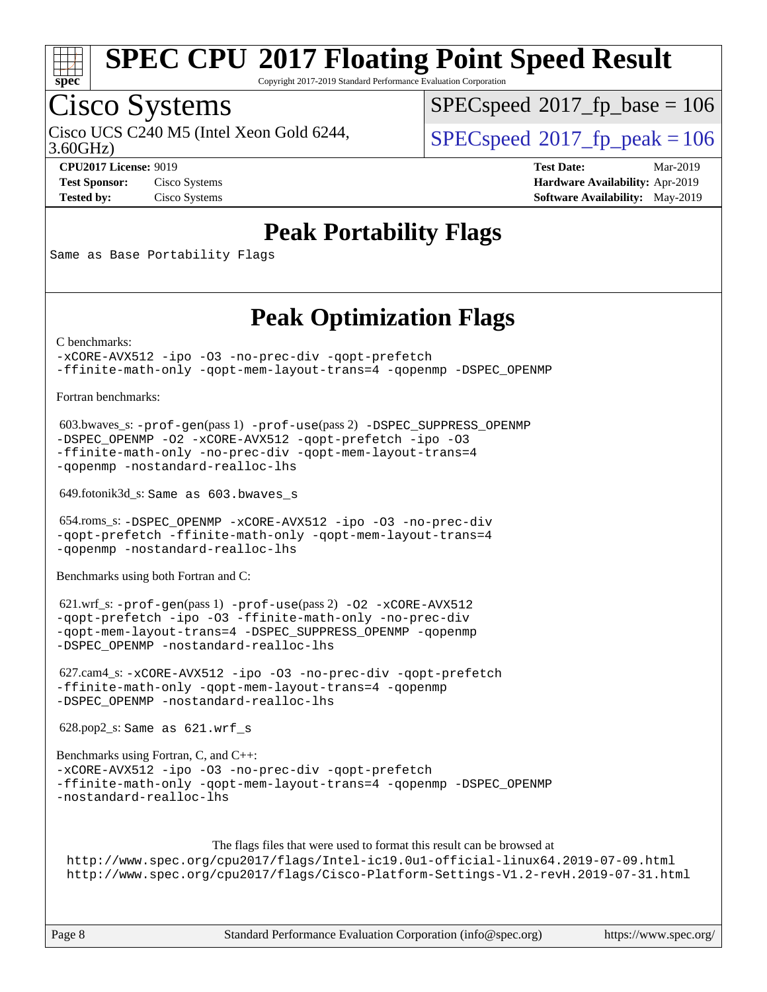

Copyright 2017-2019 Standard Performance Evaluation Corporation

### Cisco Systems

3.60GHz) Cisco UCS C240 M5 (Intel Xeon Gold 6244,  $\vert$ [SPECspeed](http://www.spec.org/auto/cpu2017/Docs/result-fields.html#SPECspeed2017fppeak)®2017 fp\_peak = 106

[SPECspeed](http://www.spec.org/auto/cpu2017/Docs/result-fields.html#SPECspeed2017fpbase)<sup>®</sup>2017 fp base = 106

**[Test Sponsor:](http://www.spec.org/auto/cpu2017/Docs/result-fields.html#TestSponsor)** Cisco Systems **[Hardware Availability:](http://www.spec.org/auto/cpu2017/Docs/result-fields.html#HardwareAvailability)** Apr-2019

**[CPU2017 License:](http://www.spec.org/auto/cpu2017/Docs/result-fields.html#CPU2017License)** 9019 **[Test Date:](http://www.spec.org/auto/cpu2017/Docs/result-fields.html#TestDate)** Mar-2019 **[Tested by:](http://www.spec.org/auto/cpu2017/Docs/result-fields.html#Testedby)** Cisco Systems **[Software Availability:](http://www.spec.org/auto/cpu2017/Docs/result-fields.html#SoftwareAvailability)** May-2019

### **[Peak Portability Flags](http://www.spec.org/auto/cpu2017/Docs/result-fields.html#PeakPortabilityFlags)**

Same as Base Portability Flags

### **[Peak Optimization Flags](http://www.spec.org/auto/cpu2017/Docs/result-fields.html#PeakOptimizationFlags)**

[C benchmarks](http://www.spec.org/auto/cpu2017/Docs/result-fields.html#Cbenchmarks):

[-xCORE-AVX512](http://www.spec.org/cpu2017/results/res2019q3/cpu2017-20190819-16761.flags.html#user_CCpeak_f-xCORE-AVX512) [-ipo](http://www.spec.org/cpu2017/results/res2019q3/cpu2017-20190819-16761.flags.html#user_CCpeak_f-ipo) [-O3](http://www.spec.org/cpu2017/results/res2019q3/cpu2017-20190819-16761.flags.html#user_CCpeak_f-O3) [-no-prec-div](http://www.spec.org/cpu2017/results/res2019q3/cpu2017-20190819-16761.flags.html#user_CCpeak_f-no-prec-div) [-qopt-prefetch](http://www.spec.org/cpu2017/results/res2019q3/cpu2017-20190819-16761.flags.html#user_CCpeak_f-qopt-prefetch) [-ffinite-math-only](http://www.spec.org/cpu2017/results/res2019q3/cpu2017-20190819-16761.flags.html#user_CCpeak_f_finite_math_only_cb91587bd2077682c4b38af759c288ed7c732db004271a9512da14a4f8007909a5f1427ecbf1a0fb78ff2a814402c6114ac565ca162485bbcae155b5e4258871) [-qopt-mem-layout-trans=4](http://www.spec.org/cpu2017/results/res2019q3/cpu2017-20190819-16761.flags.html#user_CCpeak_f-qopt-mem-layout-trans_fa39e755916c150a61361b7846f310bcdf6f04e385ef281cadf3647acec3f0ae266d1a1d22d972a7087a248fd4e6ca390a3634700869573d231a252c784941a8) [-qopenmp](http://www.spec.org/cpu2017/results/res2019q3/cpu2017-20190819-16761.flags.html#user_CCpeak_qopenmp_16be0c44f24f464004c6784a7acb94aca937f053568ce72f94b139a11c7c168634a55f6653758ddd83bcf7b8463e8028bb0b48b77bcddc6b78d5d95bb1df2967) [-DSPEC\\_OPENMP](http://www.spec.org/cpu2017/results/res2019q3/cpu2017-20190819-16761.flags.html#suite_CCpeak_DSPEC_OPENMP)

[Fortran benchmarks](http://www.spec.org/auto/cpu2017/Docs/result-fields.html#Fortranbenchmarks):

```
 603.bwaves_s: -prof-gen(pass 1) -prof-use(pass 2) -DSPEC_SUPPRESS_OPENMP
-DSPEC_OPENMP -O2 -xCORE-AVX512 -qopt-prefetch -ipo -O3
-ffinite-math-only -no-prec-div -qopt-mem-layout-trans=4
-qopenmp -nostandard-realloc-lhs
```
649.fotonik3d\_s: Same as 603.bwaves\_s

 654.roms\_s: [-DSPEC\\_OPENMP](http://www.spec.org/cpu2017/results/res2019q3/cpu2017-20190819-16761.flags.html#suite_peakFOPTIMIZE654_roms_s_DSPEC_OPENMP) [-xCORE-AVX512](http://www.spec.org/cpu2017/results/res2019q3/cpu2017-20190819-16761.flags.html#user_peakFOPTIMIZE654_roms_s_f-xCORE-AVX512) [-ipo](http://www.spec.org/cpu2017/results/res2019q3/cpu2017-20190819-16761.flags.html#user_peakFOPTIMIZE654_roms_s_f-ipo) [-O3](http://www.spec.org/cpu2017/results/res2019q3/cpu2017-20190819-16761.flags.html#user_peakFOPTIMIZE654_roms_s_f-O3) [-no-prec-div](http://www.spec.org/cpu2017/results/res2019q3/cpu2017-20190819-16761.flags.html#user_peakFOPTIMIZE654_roms_s_f-no-prec-div) [-qopt-prefetch](http://www.spec.org/cpu2017/results/res2019q3/cpu2017-20190819-16761.flags.html#user_peakFOPTIMIZE654_roms_s_f-qopt-prefetch) [-ffinite-math-only](http://www.spec.org/cpu2017/results/res2019q3/cpu2017-20190819-16761.flags.html#user_peakFOPTIMIZE654_roms_s_f_finite_math_only_cb91587bd2077682c4b38af759c288ed7c732db004271a9512da14a4f8007909a5f1427ecbf1a0fb78ff2a814402c6114ac565ca162485bbcae155b5e4258871) [-qopt-mem-layout-trans=4](http://www.spec.org/cpu2017/results/res2019q3/cpu2017-20190819-16761.flags.html#user_peakFOPTIMIZE654_roms_s_f-qopt-mem-layout-trans_fa39e755916c150a61361b7846f310bcdf6f04e385ef281cadf3647acec3f0ae266d1a1d22d972a7087a248fd4e6ca390a3634700869573d231a252c784941a8) [-qopenmp](http://www.spec.org/cpu2017/results/res2019q3/cpu2017-20190819-16761.flags.html#user_peakFOPTIMIZE654_roms_s_qopenmp_16be0c44f24f464004c6784a7acb94aca937f053568ce72f94b139a11c7c168634a55f6653758ddd83bcf7b8463e8028bb0b48b77bcddc6b78d5d95bb1df2967) [-nostandard-realloc-lhs](http://www.spec.org/cpu2017/results/res2019q3/cpu2017-20190819-16761.flags.html#user_peakEXTRA_FOPTIMIZE654_roms_s_f_2003_std_realloc_82b4557e90729c0f113870c07e44d33d6f5a304b4f63d4c15d2d0f1fab99f5daaed73bdb9275d9ae411527f28b936061aa8b9c8f2d63842963b95c9dd6426b8a)

[Benchmarks using both Fortran and C](http://www.spec.org/auto/cpu2017/Docs/result-fields.html#BenchmarksusingbothFortranandC):

 621.wrf\_s: [-prof-gen](http://www.spec.org/cpu2017/results/res2019q3/cpu2017-20190819-16761.flags.html#user_peakPASS1_CFLAGSPASS1_FFLAGSPASS1_LDFLAGS621_wrf_s_prof_gen_5aa4926d6013ddb2a31985c654b3eb18169fc0c6952a63635c234f711e6e63dd76e94ad52365559451ec499a2cdb89e4dc58ba4c67ef54ca681ffbe1461d6b36)(pass 1) [-prof-use](http://www.spec.org/cpu2017/results/res2019q3/cpu2017-20190819-16761.flags.html#user_peakPASS2_CFLAGSPASS2_FFLAGSPASS2_LDFLAGS621_wrf_s_prof_use_1a21ceae95f36a2b53c25747139a6c16ca95bd9def2a207b4f0849963b97e94f5260e30a0c64f4bb623698870e679ca08317ef8150905d41bd88c6f78df73f19)(pass 2) [-O2](http://www.spec.org/cpu2017/results/res2019q3/cpu2017-20190819-16761.flags.html#user_peakPASS1_COPTIMIZEPASS1_FOPTIMIZE621_wrf_s_f-O2) [-xCORE-AVX512](http://www.spec.org/cpu2017/results/res2019q3/cpu2017-20190819-16761.flags.html#user_peakPASS2_COPTIMIZEPASS2_FOPTIMIZE621_wrf_s_f-xCORE-AVX512) [-qopt-prefetch](http://www.spec.org/cpu2017/results/res2019q3/cpu2017-20190819-16761.flags.html#user_peakPASS1_COPTIMIZEPASS1_FOPTIMIZEPASS2_COPTIMIZEPASS2_FOPTIMIZE621_wrf_s_f-qopt-prefetch) [-ipo](http://www.spec.org/cpu2017/results/res2019q3/cpu2017-20190819-16761.flags.html#user_peakPASS2_COPTIMIZEPASS2_FOPTIMIZE621_wrf_s_f-ipo) [-O3](http://www.spec.org/cpu2017/results/res2019q3/cpu2017-20190819-16761.flags.html#user_peakPASS2_COPTIMIZEPASS2_FOPTIMIZE621_wrf_s_f-O3) [-ffinite-math-only](http://www.spec.org/cpu2017/results/res2019q3/cpu2017-20190819-16761.flags.html#user_peakPASS1_COPTIMIZEPASS1_FOPTIMIZEPASS2_COPTIMIZEPASS2_FOPTIMIZE621_wrf_s_f_finite_math_only_cb91587bd2077682c4b38af759c288ed7c732db004271a9512da14a4f8007909a5f1427ecbf1a0fb78ff2a814402c6114ac565ca162485bbcae155b5e4258871) [-no-prec-div](http://www.spec.org/cpu2017/results/res2019q3/cpu2017-20190819-16761.flags.html#user_peakPASS2_COPTIMIZEPASS2_FOPTIMIZE621_wrf_s_f-no-prec-div) [-qopt-mem-layout-trans=4](http://www.spec.org/cpu2017/results/res2019q3/cpu2017-20190819-16761.flags.html#user_peakPASS1_COPTIMIZEPASS1_FOPTIMIZEPASS2_COPTIMIZEPASS2_FOPTIMIZE621_wrf_s_f-qopt-mem-layout-trans_fa39e755916c150a61361b7846f310bcdf6f04e385ef281cadf3647acec3f0ae266d1a1d22d972a7087a248fd4e6ca390a3634700869573d231a252c784941a8) [-DSPEC\\_SUPPRESS\\_OPENMP](http://www.spec.org/cpu2017/results/res2019q3/cpu2017-20190819-16761.flags.html#suite_peakPASS1_COPTIMIZEPASS1_FOPTIMIZE621_wrf_s_DSPEC_SUPPRESS_OPENMP) [-qopenmp](http://www.spec.org/cpu2017/results/res2019q3/cpu2017-20190819-16761.flags.html#user_peakPASS2_COPTIMIZEPASS2_FOPTIMIZE621_wrf_s_qopenmp_16be0c44f24f464004c6784a7acb94aca937f053568ce72f94b139a11c7c168634a55f6653758ddd83bcf7b8463e8028bb0b48b77bcddc6b78d5d95bb1df2967) [-DSPEC\\_OPENMP](http://www.spec.org/cpu2017/results/res2019q3/cpu2017-20190819-16761.flags.html#suite_peakPASS2_COPTIMIZEPASS2_FOPTIMIZE621_wrf_s_DSPEC_OPENMP) [-nostandard-realloc-lhs](http://www.spec.org/cpu2017/results/res2019q3/cpu2017-20190819-16761.flags.html#user_peakEXTRA_FOPTIMIZE621_wrf_s_f_2003_std_realloc_82b4557e90729c0f113870c07e44d33d6f5a304b4f63d4c15d2d0f1fab99f5daaed73bdb9275d9ae411527f28b936061aa8b9c8f2d63842963b95c9dd6426b8a)

 627.cam4\_s: [-xCORE-AVX512](http://www.spec.org/cpu2017/results/res2019q3/cpu2017-20190819-16761.flags.html#user_peakCOPTIMIZEFOPTIMIZE627_cam4_s_f-xCORE-AVX512) [-ipo](http://www.spec.org/cpu2017/results/res2019q3/cpu2017-20190819-16761.flags.html#user_peakCOPTIMIZEFOPTIMIZE627_cam4_s_f-ipo) [-O3](http://www.spec.org/cpu2017/results/res2019q3/cpu2017-20190819-16761.flags.html#user_peakCOPTIMIZEFOPTIMIZE627_cam4_s_f-O3) [-no-prec-div](http://www.spec.org/cpu2017/results/res2019q3/cpu2017-20190819-16761.flags.html#user_peakCOPTIMIZEFOPTIMIZE627_cam4_s_f-no-prec-div) [-qopt-prefetch](http://www.spec.org/cpu2017/results/res2019q3/cpu2017-20190819-16761.flags.html#user_peakCOPTIMIZEFOPTIMIZE627_cam4_s_f-qopt-prefetch) [-ffinite-math-only](http://www.spec.org/cpu2017/results/res2019q3/cpu2017-20190819-16761.flags.html#user_peakCOPTIMIZEFOPTIMIZE627_cam4_s_f_finite_math_only_cb91587bd2077682c4b38af759c288ed7c732db004271a9512da14a4f8007909a5f1427ecbf1a0fb78ff2a814402c6114ac565ca162485bbcae155b5e4258871) [-qopt-mem-layout-trans=4](http://www.spec.org/cpu2017/results/res2019q3/cpu2017-20190819-16761.flags.html#user_peakCOPTIMIZEFOPTIMIZE627_cam4_s_f-qopt-mem-layout-trans_fa39e755916c150a61361b7846f310bcdf6f04e385ef281cadf3647acec3f0ae266d1a1d22d972a7087a248fd4e6ca390a3634700869573d231a252c784941a8) [-qopenmp](http://www.spec.org/cpu2017/results/res2019q3/cpu2017-20190819-16761.flags.html#user_peakCOPTIMIZEFOPTIMIZE627_cam4_s_qopenmp_16be0c44f24f464004c6784a7acb94aca937f053568ce72f94b139a11c7c168634a55f6653758ddd83bcf7b8463e8028bb0b48b77bcddc6b78d5d95bb1df2967) [-DSPEC\\_OPENMP](http://www.spec.org/cpu2017/results/res2019q3/cpu2017-20190819-16761.flags.html#suite_peakCOPTIMIZEFOPTIMIZE627_cam4_s_DSPEC_OPENMP) [-nostandard-realloc-lhs](http://www.spec.org/cpu2017/results/res2019q3/cpu2017-20190819-16761.flags.html#user_peakEXTRA_FOPTIMIZE627_cam4_s_f_2003_std_realloc_82b4557e90729c0f113870c07e44d33d6f5a304b4f63d4c15d2d0f1fab99f5daaed73bdb9275d9ae411527f28b936061aa8b9c8f2d63842963b95c9dd6426b8a)

628.pop2\_s: Same as 621.wrf\_s

[Benchmarks using Fortran, C, and C++:](http://www.spec.org/auto/cpu2017/Docs/result-fields.html#BenchmarksusingFortranCandCXX) [-xCORE-AVX512](http://www.spec.org/cpu2017/results/res2019q3/cpu2017-20190819-16761.flags.html#user_CC_CXX_FCpeak_f-xCORE-AVX512) [-ipo](http://www.spec.org/cpu2017/results/res2019q3/cpu2017-20190819-16761.flags.html#user_CC_CXX_FCpeak_f-ipo) [-O3](http://www.spec.org/cpu2017/results/res2019q3/cpu2017-20190819-16761.flags.html#user_CC_CXX_FCpeak_f-O3) [-no-prec-div](http://www.spec.org/cpu2017/results/res2019q3/cpu2017-20190819-16761.flags.html#user_CC_CXX_FCpeak_f-no-prec-div) [-qopt-prefetch](http://www.spec.org/cpu2017/results/res2019q3/cpu2017-20190819-16761.flags.html#user_CC_CXX_FCpeak_f-qopt-prefetch) [-ffinite-math-only](http://www.spec.org/cpu2017/results/res2019q3/cpu2017-20190819-16761.flags.html#user_CC_CXX_FCpeak_f_finite_math_only_cb91587bd2077682c4b38af759c288ed7c732db004271a9512da14a4f8007909a5f1427ecbf1a0fb78ff2a814402c6114ac565ca162485bbcae155b5e4258871) [-qopt-mem-layout-trans=4](http://www.spec.org/cpu2017/results/res2019q3/cpu2017-20190819-16761.flags.html#user_CC_CXX_FCpeak_f-qopt-mem-layout-trans_fa39e755916c150a61361b7846f310bcdf6f04e385ef281cadf3647acec3f0ae266d1a1d22d972a7087a248fd4e6ca390a3634700869573d231a252c784941a8) [-qopenmp](http://www.spec.org/cpu2017/results/res2019q3/cpu2017-20190819-16761.flags.html#user_CC_CXX_FCpeak_qopenmp_16be0c44f24f464004c6784a7acb94aca937f053568ce72f94b139a11c7c168634a55f6653758ddd83bcf7b8463e8028bb0b48b77bcddc6b78d5d95bb1df2967) [-DSPEC\\_OPENMP](http://www.spec.org/cpu2017/results/res2019q3/cpu2017-20190819-16761.flags.html#suite_CC_CXX_FCpeak_DSPEC_OPENMP) [-nostandard-realloc-lhs](http://www.spec.org/cpu2017/results/res2019q3/cpu2017-20190819-16761.flags.html#user_CC_CXX_FCpeak_f_2003_std_realloc_82b4557e90729c0f113870c07e44d33d6f5a304b4f63d4c15d2d0f1fab99f5daaed73bdb9275d9ae411527f28b936061aa8b9c8f2d63842963b95c9dd6426b8a)

[The flags files that were used to format this result can be browsed at](tmsearch)

<http://www.spec.org/cpu2017/flags/Intel-ic19.0u1-official-linux64.2019-07-09.html> <http://www.spec.org/cpu2017/flags/Cisco-Platform-Settings-V1.2-revH.2019-07-31.html>